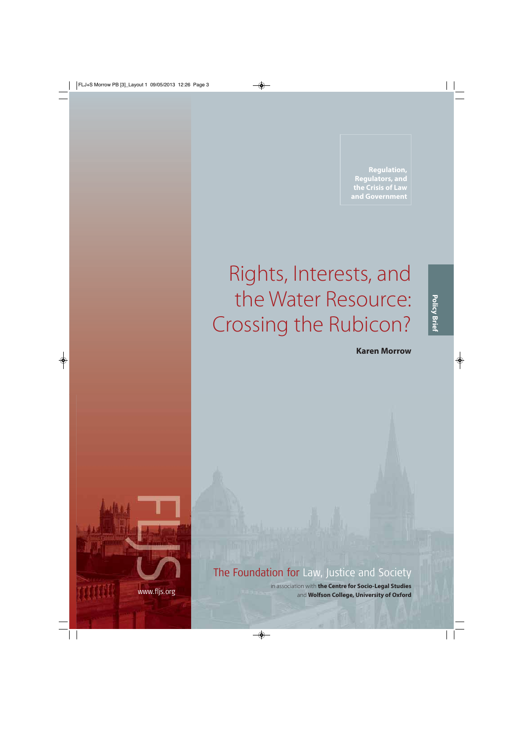**Regulation, Regulators, and the Crisis of Law and Government**

# Rights, Interests, and the Water Resource: Crossing the Rubicon?

**Karen Morrow**



## The Foundation for Law, Justice and Society

in association with **the Centre for Socio-Legal Studies**  and **Wolfson College, University of Oxford**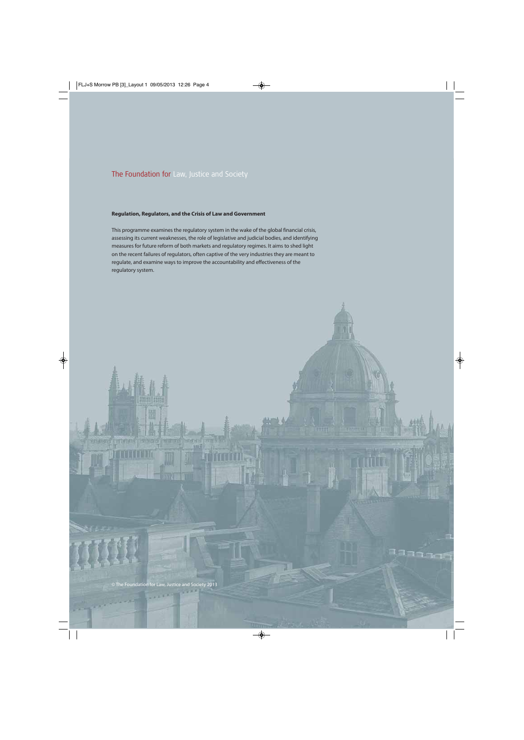### The Foundation for Law, Justice and Society

#### **Regulation, Regulators, and the Crisis of Law and Government**

This programme examines the regulatory system in the wake of the global financial crisis, assessing its current weaknesses, the role of legislative and judicial bodies, and identifying measures for future reform of both markets and regulatory regimes. It aims to shed light on the recent failures of regulators, often captive of the very industries they are meant to regulate, and examine ways to improve the accountability and effectiveness of the regulatory system.

**Printin** 

laanga

mmaso



© The Foundation for Law, Justice and Society 2013

**VICE** U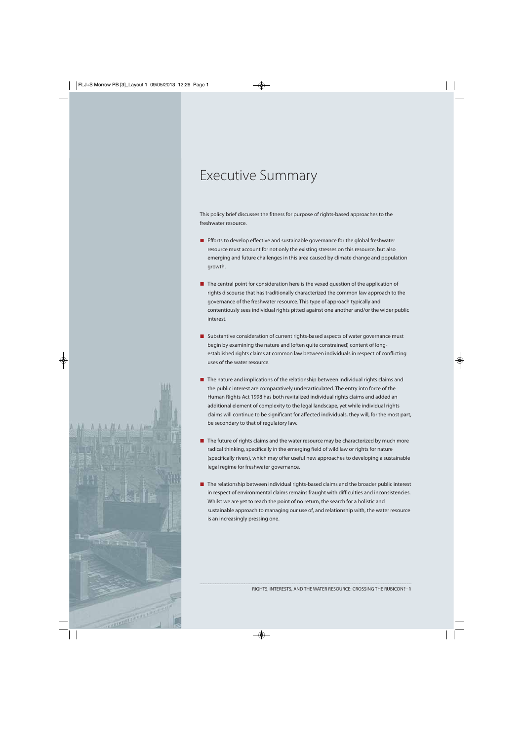# Executive Summary

This policy brief discusses the fitness for purpose of rights-based approaches to the freshwater resource.

- **n** Efforts to develop effective and sustainable governance for the global freshwater resource must account for not only the existing stresses on this resource, but also emerging and future challenges in this area caused by climate change and population growth.
- $\blacksquare$  The central point for consideration here is the vexed question of the application of rights discourse that has traditionally characterized the common law approach to the governance of the freshwater resource. This type of approach typically and contentiously sees individual rights pitted against one another and/or the wider public interest.
- $\blacksquare$  Substantive consideration of current rights-based aspects of water governance must begin by examining the nature and (often quite constrained) content of longestablished rights claims at common law between individuals in respect of conflicting uses of the water resource.
- $\blacksquare$  The nature and implications of the relationship between individual rights claims and the public interest are comparatively underarticulated. The entry into force of the Human Rights Act 1998 has both revitalized individual rights claims and added an additional element of complexity to the legal landscape, yet while individual rights claims will continue to be significant for affected individuals, they will, for the most part, be secondary to that of regulatory law.
- $\blacksquare$  The future of rights claims and the water resource may be characterized by much more radical thinking, specifically in the emerging field of wild law or rights for nature (specifically rivers), which may offer useful new approaches to developing a sustainable legal regime for freshwater governance.
- **n** The relationship between individual rights-based claims and the broader public interest in respect of environmental claims remains fraught with difficulties and inconsistencies. Whilst we are yet to reach the point of no return, the search for a holistic and sustainable approach to managing our use of, and relationship with, the water resource is an increasingly pressing one.

termining in

RIGHTS, INTERESTS, AND THE WATER RESOURCE: CROSSING THE RUBICON? . **1**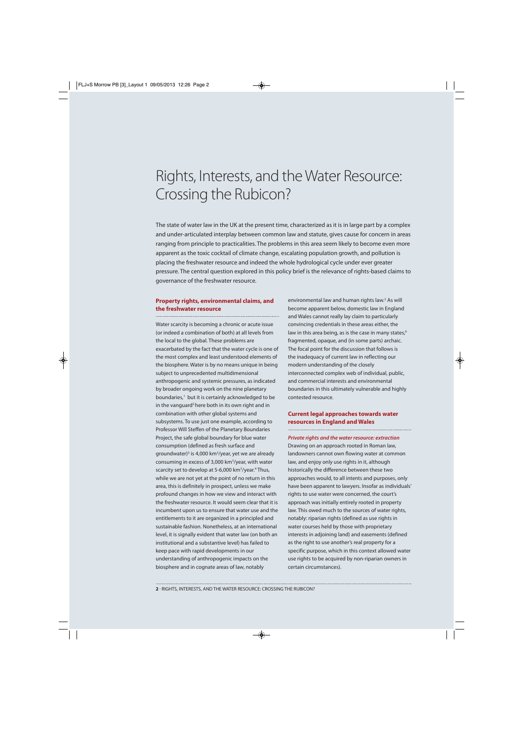# Rights, Interests, and the Water Resource: Crossing the Rubicon?

The state of water law in the UK at the present time, characterized as it is in large part by a complex and under-articulated interplay between common law and statute, gives cause for concern in areas ranging from principle to practicalities. The problems in this area seem likely to become even more apparent as the toxic cocktail of climate change, escalating population growth, and pollution is placing the freshwater resource and indeed the whole hydrological cycle under ever greater pressure. The central question explored in this policy brief is the relevance of rights-based claims to governance of the freshwater resource.

#### **Property rights, environmental claims, and the freshwater resource**

Water scarcity is becoming a chronic or acute issue (or indeed a combination of both) at all levels from the local to the global. These problems are exacerbated by the fact that the water cycle is one of the most complex and least understood elements of the biosphere. Water is by no means unique in being subject to unprecedented multidimensional anthropogenic and systemic pressures, as indicated by broader ongoing work on the nine planetary boundaries,<sup>1</sup> but it is certainly acknowledged to be in the vanguard<sup>2</sup> here both in its own right and in combination with other global systems and subsystems. To use just one example, according to Professor Will Steffen of the Planetary Boundaries Project, the safe global boundary for blue water consumption (defined as fresh surface and groundwater)<sup>3</sup> is 4,000 km<sup>3</sup>/year, yet we are already consuming in excess of 3,000 km<sup>3</sup>/year, with water scarcity set to develop at 5-6,000 km<sup>3</sup>/year.<sup>4</sup> Thus, while we are not yet at the point of no return in this area, this is definitely in prospect, unless we make profound changes in how we view and interact with the freshwater resource. It would seem clear that it is incumbent upon us to ensure that water use and the entitlements to it are organized in a principled and sustainable fashion. Nonetheless, at an international level, it is signally evident that water law (on both an institutional and a substantive level) has failed to keep pace with rapid developments in our understanding of anthropogenic impacts on the biosphere and in cognate areas of law, notably

environmental law and human rights law.<sup>5</sup> As will become apparent below, domestic law in England and Wales cannot really lay claim to particularly convincing credentials in these areas either, the law in this area being, as is the case in many states,<sup>6</sup> fragmented, opaque, and (in some parts) archaic. The focal point for the discussion that follows is the inadequacy of current law in reflecting our modern understanding of the closely interconnected complex web of individual, public, and commercial interests and environmental boundaries in this ultimately vulnerable and highly contested resource.

### **Current legal approaches towards water resources in England and Wales**

*Private rights and the water resource: extraction* Drawing on an approach rooted in Roman law, landowners cannot own flowing water at common law, and enjoy only use rights in it, although historically the difference between these two approaches would, to all intents and purposes, only have been apparent to lawyers. Insofar as individuals' rights to use water were concerned, the court's approach was initially entirely rooted in property law. This owed much to the sources of water rights, notably: riparian rights (defined as use rights in water courses held by those with proprietary interests in adjoining land) and easements (defined as the right to use another's real property for a specific purpose, which in this context allowed water use rights to be acquired by non-riparian owners in certain circumstances).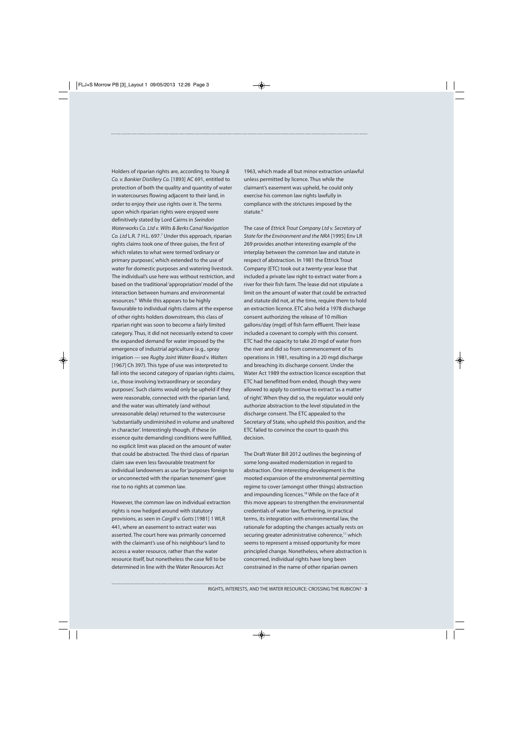Holders of riparian rights are, according to *Young & Co. v. Bankier Distillery Co.* [1893] AC 691, entitled to protection of both the quality and quantity of water in watercourses flowing adjacent to their land, in order to enjoy their use rights over it. The terms upon which riparian rights were enjoyed were definitively stated by Lord Cairns in *Swindon Waterworks Co. Ltd v. Wilts & Berks Canal Navigation* Co. Ltd L.R. 7 H.L. 697.<sup>7</sup> Under this approach, riparian rights claims took one of three guises, the first of which relates to what were termed 'ordinary or primary purposes', which extended to the use of water for domestic purposes and watering livestock. The individual's use here was without restriction, and based on the traditional 'appropriation' model of the interaction between humans and environmental resources.<sup>8</sup> While this appears to be highly favourable to individual rights claims at the expense of other rights holders downstream, this class of riparian right was soon to become a fairly limited category. Thus, it did not necessarily extend to cover the expanded demand for water imposed by the emergence of industrial agriculture (e.g., spray irrigation — see *Rugby Joint Water Board v. Walters* [1967] Ch 397). This type of use was interpreted to fall into the second category of riparian rights claims, i.e., those involving 'extraordinary or secondary purposes'. Such claims would only be upheld if they were reasonable, connected with the riparian land, and the water was ultimately (and without unreasonable delay) returned to the watercourse 'substantially undiminished in volume and unaltered in character'. Interestingly though, if these (in essence quite demanding) conditions were fulfilled, no explicit limit was placed on the amount of water that could be abstracted. The third class of riparian claim saw even less favourable treatment for individual landowners as use for 'purposes foreign to or unconnected with the riparian tenement' gave rise to no rights at common law.

However, the common law on individual extraction rights is now hedged around with statutory provisions, as seen in *Cargill v. Gotts* [1981] 1 WLR 441, where an easement to extract water was asserted. The court here was primarily concerned with the claimant's use of his neighbour's land to access a water resource, rather than the water resource itself, but nonetheless the case fell to be determined in line with the Water Resources Act

1963, which made all but minor extraction unlawful unless permitted by licence. Thus while the claimant's easement was upheld, he could only exercise his common law rights lawfully in compliance with the strictures imposed by the statute $9$ 

The case of *Ettrick Trout Company Ltd v. Secretary of State for the Environment and the NRA* [1995] Env LR 269 provides another interesting example of the interplay between the common law and statute in respect of abstraction. In 1981 the Ettrick Trout Company (ETC) took out a twenty-year lease that included a private law right to extract water from a river for their fish farm. The lease did not stipulate a limit on the amount of water that could be extracted and statute did not, at the time, require them to hold an extraction licence. ETC also held a 1978 discharge consent authorizing the release of 10 million gallons/day (mgd) of fish farm effluent. Their lease included a covenant to comply with this consent. ETC had the capacity to take 20 mgd of water from the river and did so from commencement of its operations in 1981, resulting in a 20 mgd discharge and breaching its discharge consent. Under the Water Act 1989 the extraction licence exception that ETC had benefitted from ended, though they were allowed to apply to continue to extract 'as a matter of right'. When they did so, the regulator would only authorize abstraction to the level stipulated in the discharge consent. The ETC appealed to the Secretary of State, who upheld this position, and the ETC failed to convince the court to quash this decision.

The Draft Water Bill 2012 outlines the beginning of some long-awaited modernization in regard to abstraction. One interesting development is the mooted expansion of the environmental permitting regime to cover (amongst other things) abstraction and impounding licences.<sup>10</sup> While on the face of it this move appears to strengthen the environmental credentials of water law, furthering, in practical terms, its integration with environmental law, the rationale for adopting the changes actually rests on securing greater administrative coherence,<sup>11</sup> which seems to represent a missed opportunity for more principled change. Nonetheless, where abstraction is concerned, individual rights have long been constrained in the name of other riparian owners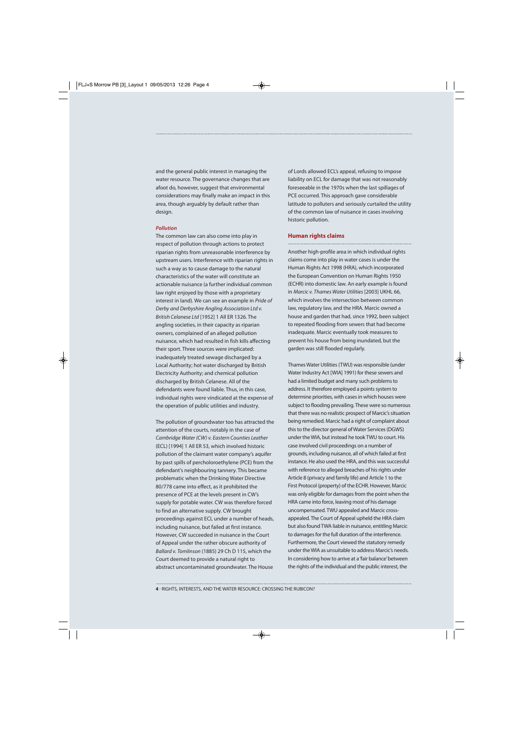and the general public interest in managing the water resource. The governance changes that are afoot do, however, suggest that environmental considerations may finally make an impact in this area, though arguably by default rather than design.

#### *Pollution*

The common law can also come into play in respect of pollution through actions to protect riparian rights from unreasonable interference by upstream users. Interference with riparian rights in such a way as to cause damage to the natural characteristics of the water will constitute an actionable nuisance (a further individual common law right enjoyed by those with a proprietary interest in land). We can see an example in *Pride of Derby and Derbyshire Angling Association Ltd v. British Celanese Ltd* [1952] 1 All ER 1326. The angling societies, in their capacity as riparian owners, complained of an alleged pollution nuisance, which had resulted in fish kills affecting their sport. Three sources were implicated: inadequately treated sewage discharged by a Local Authority; hot water discharged by British Electricity Authority; and chemical pollution discharged by British Celanese. All of the defendants were found liable. Thus, in this case, individual rights were vindicated at the expense of the operation of public utilities and industry.

The pollution of groundwater too has attracted the attention of the courts, notably in the case of *Cambridge Water (CW) v. Eastern Counties Leather* (ECL) [1994] 1 All ER 53, which involved historic pollution of the claimant water company's aquifer by past spills of percholoroethylene (PCE) from the defendant's neighbouring tannery. This became problematic when the Drinking Water Directive 80/778 came into effect, as it prohibited the presence of PCE at the levels present in CW's supply for potable water. CW was therefore forced to find an alternative supply. CW brought proceedings against ECL under a number of heads, including nuisance, but failed at first instance. However, CW succeeded in nuisance in the Court of Appeal under the rather obscure authority of *Ballard v. Tomlinson* (1885) 29 Ch D 115, which the Court deemed to provide a natural right to abstract uncontaminated groundwater. The House

of Lords allowed ECL's appeal, refusing to impose liability on ECL for damage that was not reasonably foreseeable in the 1970s when the last spillages of PCE occurred. This approach gave considerable latitude to polluters and seriously curtailed the utility of the common law of nuisance in cases involving historic pollution.

#### **Human rights claims**

Another high-profile area in which individual rights claims come into play in water cases is under the Human Rights Act 1998 (HRA), which incorporated the European Convention on Human Rights 1950 (ECHR) into domestic law. An early example is found in *Marcic v. Thames Water Utilities* [2003] UKHL 66, which involves the intersection between common law, regulatory law, and the HRA. Marcic owned a house and garden that had, since 1992, been subject to repeated flooding from sewers that had become inadequate. Marcic eventually took measures to prevent his house from being inundated, but the garden was still flooded regularly.

Thames Water Utilities (TWU) was responsible (under Water Industry Act [WIA] 1991) for these sewers and had a limited budget and many such problems to address. It therefore employed a points system to determine priorities, with cases in which houses were subject to flooding prevailing. These were so numerous that there was no realistic prospect of Marcic's situation being remedied. Marcic had a right of complaint about this to the director general of Water Services (DGWS) under the WIA, but instead he took TWU to court. His case involved civil proceedings on a number of grounds, including nuisance, all of which failed at first instance. He also used the HRA, and this was successful with reference to alleged breaches of his rights under Article 8 (privacy and family life) and Article 1 to the First Protocol (property) of the ECHR. However, Marcic was only eligible for damages from the point when the HRA came into force, leaving most of his damage uncompensated. TWU appealed and Marcic crossappealed. The Court of Appeal upheld the HRA claim but also found TWA liable in nuisance, entitling Marcic to damages for the full duration of the interference. Furthermore, the Court viewed the statutory remedy under the WIA as unsuitable to address Marcic's needs. In considering how to arrive at a 'fair balance' between the rights of the individual and the public interest, the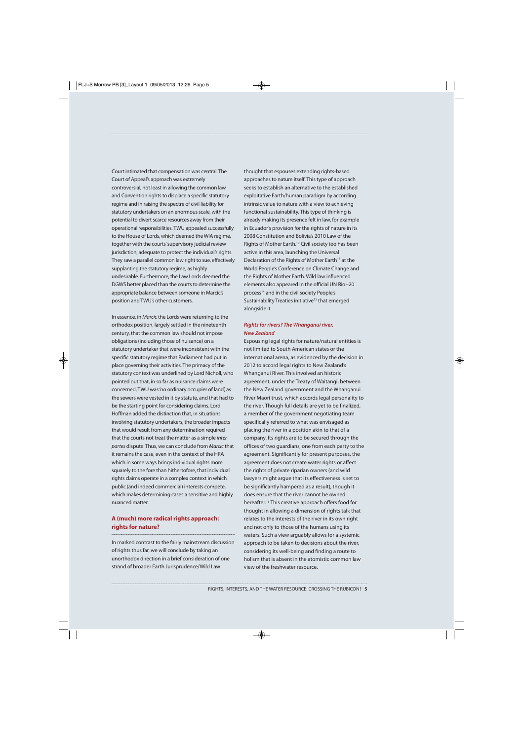Court intimated that compensation was central. The Court of Appeal's approach was extremely controversial, not least in allowing the common law and Convention rights to displace a specific statutory regime and in raising the spectre of civil liability for statutory undertakers on an enormous scale, with the potential to divert scarce resources away from their operational responsibilities. TWU appealed successfully to the House of Lords, which deemed the WIA regime, together with the courts' supervisory judicial review jurisdiction, adequate to protect the individual's rights. They saw a parallel common law right to sue, effectively supplanting the statutory regime, as highly undesirable. Furthermore, the Law Lords deemed the DGWS better placed than the courts to determine the appropriate balance between someone in Marcic's position and TWU's other customers.

In essence, in *Marcic* the Lords were returning to the orthodox position, largely settled in the nineteenth century, that the common law should not impose obligations (including those of nuisance) on a statutory undertaker that were inconsistent with the specific statutory regime that Parliament had put in place governing their activities. The primacy of the statutory context was underlined by Lord Nicholl, who pointed out that, in so far as nuisance claims were concerned, TWU was 'no ordinary occupier of land', as the sewers were vested in it by statute, and that had to be the starting point for considering claims. Lord Hoffman added the distinction that, in situations involving statutory undertakers, the broader impacts that would result from any determination required that the courts not treat the matter as a simple *inter partes* dispute. Thus, we can conclude from *Marcic* that it remains the case, even in the context of the HRA which in some ways brings individual rights more squarely to the fore than hithertofore, that individual rights claims operate in a complex context in which public (and indeed commercial) interests compete, which makes determining cases a sensitive and highly nuanced matter.

#### **A (much) more radical rights approach: rights for nature?**

In marked contrast to the fairly mainstream discussion of rights thus far, we will conclude by taking an unorthodox direction in a brief consideration of one strand of broader Earth Jurisprudence/Wild Law

thought that espouses extending rights-based approaches to nature itself. This type of approach seeks to establish an alternative to the established exploitative Earth/human paradigm by according intrinsic value to nature with a view to achieving functional sustainability. This type of thinking is already making its presence felt in law, for example in Ecuador's provision for the rights of nature in its 2008 Constitution and Bolivia's 2010 Law of the Rights of Mother Earth.12 Civil society too has been active in this area, launching the Universal Declaration of the Rights of Mother Earth<sup>13</sup> at the World People's Conference on Climate Change and the Rights of Mother Earth. Wild law influenced elements also appeared in the official UN Rio+20 process14 and in the civil society People's Sustainability Treaties initiative<sup>15</sup> that emerged alongside it.

#### *Rights for rivers? The Whanganui river, New Zealand*

Espousing legal rights for nature/natural entities is not limited to South American states or the international arena, as evidenced by the decision in 2012 to accord legal rights to New Zealand's Whanganui River. This involved an historic agreement, under the Treaty of Waitangi, between the New Zealand government and the Whanganui River Maori trust, which accords legal personality to the river. Though full details are yet to be finalized, a member of the government negotiating team specifically referred to what was envisaged as placing the river in a position akin to that of a company. Its rights are to be secured through the offices of two guardians, one from each party to the agreement. Significantly for present purposes, the agreement does not create water rights or affect the rights of private riparian owners (and wild lawyers might argue that its effectiveness is set to be significantly hampered as a result), though it does ensure that the river cannot be owned hereafter.16 This creative approach offers food for thought in allowing a dimension of rights talk that relates to the interests of the river in its own right and not only to those of the humans using its waters. Such a view arguably allows for a systemic approach to be taken to decisions about the river, considering its well-being and finding a route to holism that is absent in the atomistic common law view of the freshwater resource.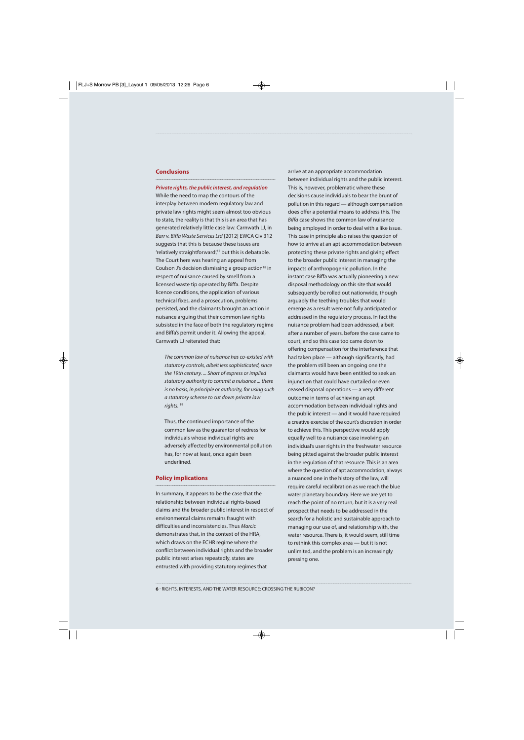#### **Conclusions**

#### *Private rights, the public interest, and regulation*

While the need to map the contours of the interplay between modern regulatory law and private law rights might seem almost too obvious to state, the reality is that this is an area that has generated relatively little case law. Carnwath LJ, in *Barr v. Biffa Waste Services Ltd* [2012] EWCA Civ 312 suggests that this is because these issues are 'relatively straightforward',17 but this is debatable. The Court here was hearing an appeal from Coulson J's decision dismissing a group action<sup>18</sup> in respect of nuisance caused by smell from a licensed waste tip operated by Biffa. Despite licence conditions, the application of various technical fixes, and a prosecution, problems persisted, and the claimants brought an action in nuisance arguing that their common law rights subsisted in the face of both the regulatory regime and Biffa's permit under it. Allowing the appeal, Carnwath LJ reiterated that:

*The common law of nuisance has co-existed with statutory controls, albeit less sophisticated, since the 19th century. ... Short of express or implied statutory authority to commit a nuisance ... there is no basis, in principle or authority, for using such a statutory scheme to cut down private law* rights.<sup>19</sup>

Thus, the continued importance of the common law as the guarantor of redress for individuals whose individual rights are adversely affected by environmental pollution has, for now at least, once again been underlined.

#### **Policy implications**

In summary, it appears to be the case that the relationship between individual rights-based claims and the broader public interest in respect of environmental claims remains fraught with difficulties and inconsistencies. Thus *Marcic* demonstrates that, in the context of the HRA, which draws on the ECHR regime where the conflict between individual rights and the broader public interest arises repeatedly, states are entrusted with providing statutory regimes that

arrive at an appropriate accommodation between individual rights and the public interest. This is, however, problematic where these decisions cause individuals to bear the brunt of pollution in this regard — although compensation does offer a potential means to address this. The *Biffa* case shows the common law of nuisance being employed in order to deal with a like issue. This case in principle also raises the question of how to arrive at an apt accommodation between protecting these private rights and giving effect to the broader public interest in managing the impacts of anthropogenic pollution. In the instant case Biffa was actually pioneering a new disposal methodology on this site that would subsequently be rolled out nationwide, though arguably the teething troubles that would emerge as a result were not fully anticipated or addressed in the regulatory process. In fact the nuisance problem had been addressed, albeit after a number of years, before the case came to court, and so this case too came down to offering compensation for the interference that had taken place — although significantly, had the problem still been an ongoing one the claimants would have been entitled to seek an injunction that could have curtailed or even ceased disposal operations — a very different outcome in terms of achieving an apt accommodation between individual rights and the public interest — and it would have required a creative exercise of the court's discretion in order to achieve this. This perspective would apply equally well to a nuisance case involving an individual's user rights in the freshwater resource being pitted against the broader public interest in the regulation of that resource. This is an area where the question of apt accommodation, always a nuanced one in the history of the law, will require careful recalibration as we reach the blue water planetary boundary. Here we are yet to reach the point of no return, but it is a very real prospect that needs to be addressed in the search for a holistic and sustainable approach to managing our use of, and relationship with, the water resource. There is, it would seem, still time to rethink this complex area — but it is not unlimited, and the problem is an increasingly pressing one.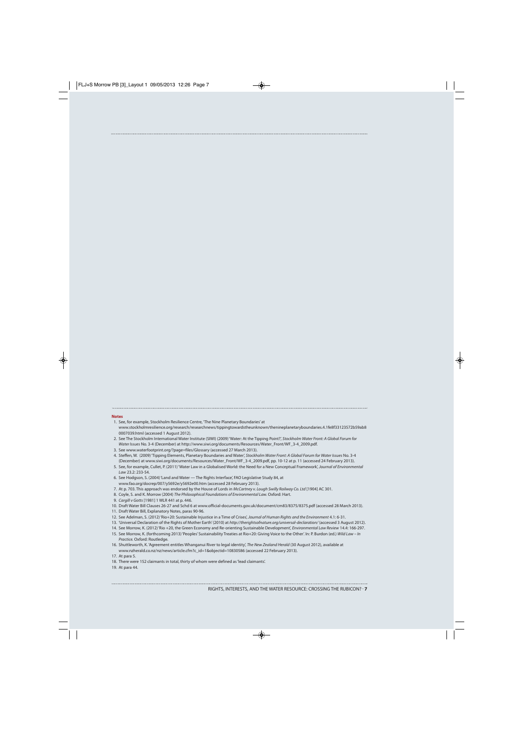#### **Notes**

- 1. See, for example, Stockholm Resilience Centre, 'The Nine Planetary Boundaries' at
- www.stockholmresilience.org/research/researchnews/tippingtowardstheunknown/thenineplanetaryboundaries.4.1fe8f33123572b59ab8 0007039.html (accessed 1 August 2012).
- 2. See The Stockholm International Water Institute (SIWI) (2009) 'Water: At the Tipping Point?', *Stockholm Water Front: A Global Forum for Water Issues* No. 3-4 (December) at http://www.siwi.org/documents/Resources/Water\_Front/WF\_3-4\_2009.pdf.
- 3. See www.waterfootprint.org/?page=files/Glossary (accessed 27 March 2013).
- 4. Steffen, W. (2009) 'Tipping Elements, Planetary Boundaries and Water', *Stockholm Water Front: A Global Forum for Water Issues* No. 3-4
- (December) at www.siwi.org/documents/Resources/Water\_Front/WF\_3-4\_2009.pdf, pp. 10-12 at p. 11 (accessed 24 February 2013). 5. See, for example, Cullet, P. (2011) 'Water Law in a Globalised World: the Need for a New Conceptual Framework', *Journal of Environmental Law* 23.2: 233-54.
- 6. See Hodgson, S. (2004) 'Land and Water The Rights Interface', FAO Legislative Study 84, at www.fao.org/docrep/007/y5692e/y5692e00.htm (accessed 28 February 2013).
- 7. At p. 703. This approach was endorsed by the House of Lords in *McCartney v. Lough Swilly Railway Co. Ltd* [1904] AC 301.
- 8. Coyle, S. and K. Morrow (2004) *The Philosophical Foundations of Environmental Law.* Oxford: Hart.
- 9. *Cargill v Gotts* [1981] 1 WLR 441 at p. 446.
- 10. Draft Water Bill Clauses 26-27 and Schd 6 at www.official-documents.gov.uk/document/cm83/8375/8375.pdf (accessed 28 March 2013).
- 11. Draft Water Bill, Explanatory Notes, paras 90-96.
- 12. See Adelman, S. (2012) 'Rio+20: Sustainable Injustice in a Time of Crises', *Journal of Human Rights and the Environment* 4.1: 6-31.
- 13. 'Universal Declaration of the Rights of Mother Earth' (2010) at *http://therightsofnature.org/universal-declaration/* (accessed 3 August 2012).
- 14. See Morrow, K. (2012) 'Rio +20, the Green Economy and Re-orienting Sustainable Development', *Environmental Law Review* 14.4: 166-297.
- 15. See Morrow, K. (forthcoming 2013) 'Peoples' Sustainability Treaties at Rio+20: Giving Voice to the Other'. In: P. Burdon (ed.) *Wild Law In Practice.* Oxford: Routledge.
- 16. Shuttleworth, K. 'Agreement entitles Whanganui River to legal identity', *The New Zealand Herald* (30 August 2012), available at www.nzherald.co.nz/nz/news/article.cfm?c\_id=1&objectid=10830586 (accessed 22 February 2013).
- 17. At para 5.
- 18. There were 152 claimants in total, thirty of whom were defined as 'lead claimants'.
- 19. At para 44.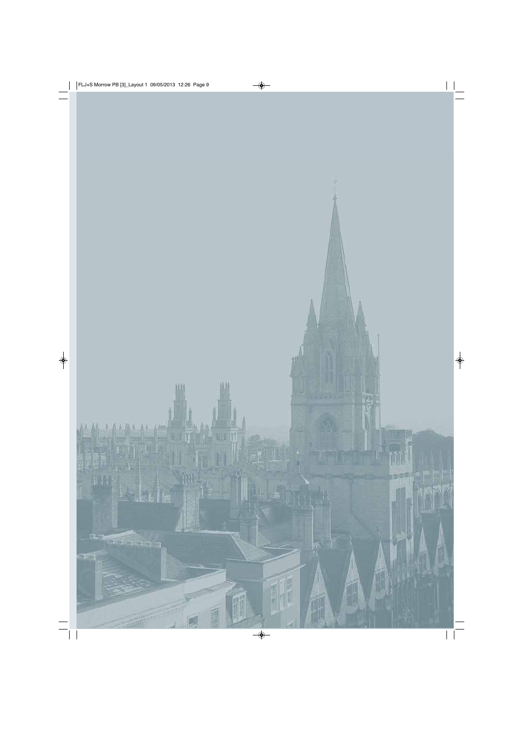